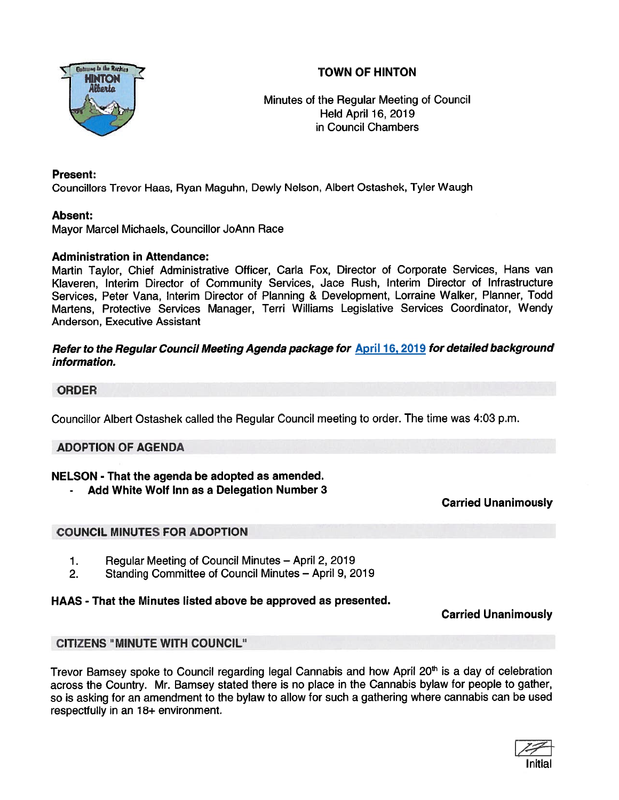# TOWN OF HINTON



Minutes of the Regular Meeting of Council Held April 16, 2019 in Council Chambers

## Present:

Councillors Trevor Haas, Ryan Maguhn, Dewly Nelson, Albert Ostashek, Tyler Waugh

## Absent:

Mayor Marcel Michaels, Councillor JoAnn Race

## Administration in Attendance:

Martin Taylor, Chief Administrative Officer, Carla Fox, Director of Corporate Services, Hans van Klaveren, Interim Director of Community Services, Jace Rush, Interim Director of Infrastructure Services, Peter Vana, Interim Director of Planning & Development, Lorraine Walker, Planner, Todd Martens, Protective Services Manager, Terri Williams Legislative Services Coordinator, Wendy Anderson, Executive Assistant

## Refer to the Regular Council Meeting Agenda package for April 16, 2019 for detailed background information.

## ORDER

Councillor Albert Ostashek called the Regular Council meeting to order. The time was 4:03 p.m.

## ADOPTION OF AGENDA

## NELSON - That the agenda be adopted as amended.

Add White Wolf Inn as <sup>a</sup> Delegation Number 3

Carried Unanimously

## COUNCIL MINUTES FOR ADOPTION

- 1. Regular Meeting of Council Minutes April 2, 2019
- 2. Standing Committee of Council Minutes April 9, 2019

## HAAS - That the Minutes listed above be approved as presented.

## Carried Unanimously

## CITIZENS "MINUTE WITH COUNCIL"

Trevor Bamsey spoke to Council regarding legal Cannabis and how April 20<sup>th</sup> is a day of celebration across the Country. Mr. Bamsey stated there is no <sup>p</sup>lace in the Cannabis bylaw for people to gather, so is asking for an amendment to the bylaw to allow for such <sup>a</sup> gathering where cannabis can be used respectfully in an 18+ environment.

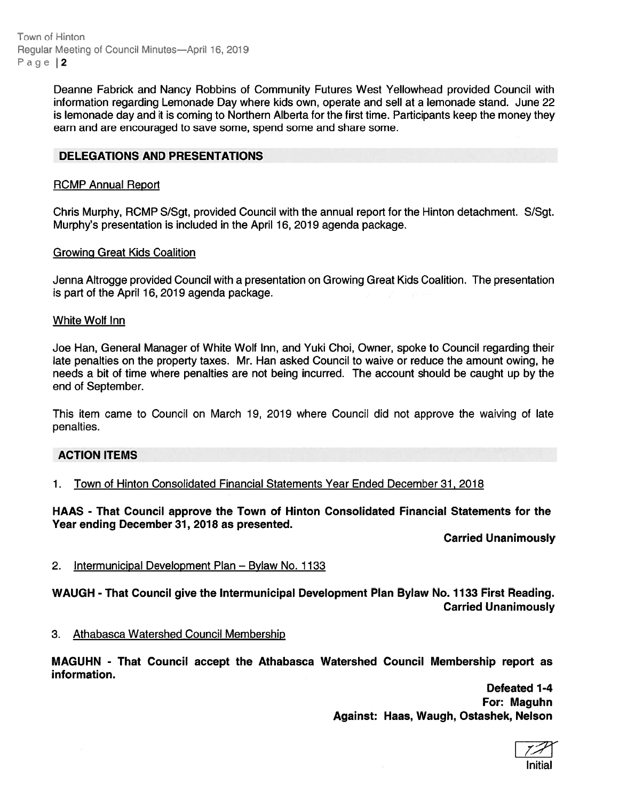Town of Hinton Regular Meeting of Council Minutes-April 16, 2019 Page | 2

> Deanne Fabrick and Nancy Robbins ot Community Futures West Yellowhead provided Council with information regarding Lemonade Day where kids own, operate and sell at <sup>a</sup> lemonade stand. June 22 is lemonade day and it is coming to Northern Alberta for the first time. Participants keep the money they earn and are encouraged to save some, spend some and share some.

### DELEGATIONS AND PRESENTATIONS

#### RCMP Annual Report

Chris Murphy, RCMP S/Sgt, provided Council with the annual repor<sup>t</sup> for the Hinton detachment. S/Sgt. Murphy's presentation is included in the April 16, 2019 agenda package.

#### Growing Great Kids Coalition

Jenna Altrogge provided Council with <sup>a</sup> presentation on Growing Great Kids Coalition. The presentation is par<sup>t</sup> of the April 16, 2019 agenda package.

#### White Wolf Inn

Joe Han, General Manager of White Wolf Inn, and Yuki Choi, Owner, spoke to Council regarding their late penalties on the property taxes. Mr. Han asked Council to waive or reduce the amount owing, he needs <sup>a</sup> bit of time where penalties are not being incurred. The account should be caught up by the end of September.

This item came to Council on March 19, 2019 where Council did not approve the waiving of late penalties.

#### ACTION ITEMS

1. Town of Hinton Consolidated Financial Statements Year Ended December 31, 2018

HAAS - That Council approve the Town of Hinton Consolidated Financial Statements for the Year ending December 31, 2078 as presented.

Carried Unanimously

#### 2. Intermunicipal Development Plan — Bylaw No. 1133

WAUGH - That Council give the Intermunicipal Development Plan Bylaw No. 1133 First Reading. Carried Unanimously

3. Athabasca Watershed Council Membership

MAGUHN - That Council accep<sup>t</sup> the Athabasca Watershed Council Membership repor<sup>t</sup> as information.

> Defeated 1-4 For: Maguhn Against: Haas, Waugh, Ostashek, Nelson

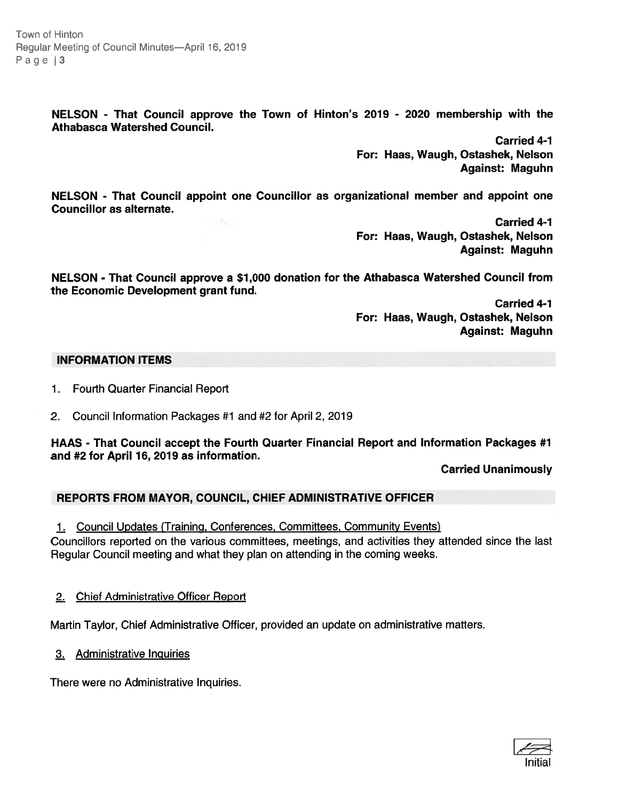Town of Hinton Regular Meeting of Council Minutes-April 16, 2019 Page | 3

> NELSON - That Council approve the Town of Hinton's 2079 - 2020 membership with the Athabasca Watershed Council.

> > Carried 4-1 For: Haas, Waugh, Ostashek, Nelson Against: Maguhn

NELSON - That Council appoint one Councillor as organizational member and appoint one Councillor as alternate.

> Carried 4-1 For: Haas, Waugh, Ostashek, Nelson Against: Maguhn

NELSON - That Council approve <sup>a</sup> \$7,000 donation for the Athabasca Watershed Council from the Economic Development gran<sup>t</sup> fund.

> Carried 4-1 For: Haas, Waugh, Ostashek, Nelson Against: Maguhn

#### INFORMATION ITEMS

1. Fourth Quarter Financial Report

2. Council Information Packages #1 and #2 for April 2, 2019

 $\frac{1}{2} \sum_{i=1}^N \frac{1}{2} \sum_{j=1}^N \frac{1}{2} \sum_{j=1}^N \frac{1}{2} \sum_{j=1}^N \frac{1}{2} \sum_{j=1}^N \frac{1}{2} \sum_{j=1}^N \frac{1}{2} \sum_{j=1}^N \frac{1}{2} \sum_{j=1}^N \frac{1}{2} \sum_{j=1}^N \frac{1}{2} \sum_{j=1}^N \frac{1}{2} \sum_{j=1}^N \frac{1}{2} \sum_{j=1}^N \frac{1}{2} \sum_{j=1}^N \frac{1}{2} \sum_{j=$ 

HAAS - That Council accep<sup>t</sup> the Fourth Quarter Financial Report and Information Packages #1 and #2 for April 76, 2019 as information.

Carried Unanimously

## REPORTS FROM MAYOR, COUNCIL, CHIEF ADMINISTRATIVE OFFICER

1. Council Updates (Training, Conferences, Committees, Community Events) Councillors reported on the various committees, meetings, and activities they attended since the last Regular Council meeting and what they plan on attending in the coming weeks.

#### 2. Chief Administrative Officer Report

Martin Taylor, Chief Administrative Officer, provided an update on administrative matters.

3. Administrative Inquiries

There were no Administrative Inquiries.